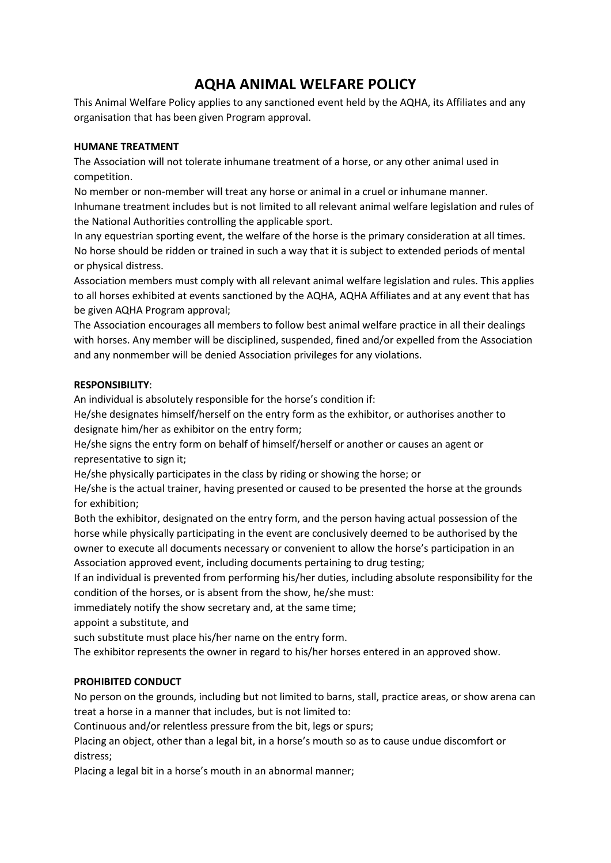# **AQHA ANIMAL WELFARE POLICY**

This Animal Welfare Policy applies to any sanctioned event held by the AQHA, its Affiliates and any organisation that has been given Program approval.

### **HUMANE TREATMENT**

The Association will not tolerate inhumane treatment of a horse, or any other animal used in competition.

No member or non-member will treat any horse or animal in a cruel or inhumane manner. Inhumane treatment includes but is not limited to all relevant animal welfare legislation and rules of the National Authorities controlling the applicable sport.

In any equestrian sporting event, the welfare of the horse is the primary consideration at all times. No horse should be ridden or trained in such a way that it is subject to extended periods of mental or physical distress.

Association members must comply with all relevant animal welfare legislation and rules. This applies to all horses exhibited at events sanctioned by the AQHA, AQHA Affiliates and at any event that has be given AQHA Program approval;

The Association encourages all members to follow best animal welfare practice in all their dealings with horses. Any member will be disciplined, suspended, fined and/or expelled from the Association and any nonmember will be denied Association privileges for any violations.

#### **RESPONSIBILITY**:

An individual is absolutely responsible for the horse's condition if:

He/she designates himself/herself on the entry form as the exhibitor, or authorises another to designate him/her as exhibitor on the entry form;

He/she signs the entry form on behalf of himself/herself or another or causes an agent or representative to sign it;

He/she physically participates in the class by riding or showing the horse; or

He/she is the actual trainer, having presented or caused to be presented the horse at the grounds for exhibition;

Both the exhibitor, designated on the entry form, and the person having actual possession of the horse while physically participating in the event are conclusively deemed to be authorised by the owner to execute all documents necessary or convenient to allow the horse's participation in an Association approved event, including documents pertaining to drug testing;

If an individual is prevented from performing his/her duties, including absolute responsibility for the condition of the horses, or is absent from the show, he/she must:

immediately notify the show secretary and, at the same time;

appoint a substitute, and

such substitute must place his/her name on the entry form.

The exhibitor represents the owner in regard to his/her horses entered in an approved show.

## **PROHIBITED CONDUCT**

No person on the grounds, including but not limited to barns, stall, practice areas, or show arena can treat a horse in a manner that includes, but is not limited to:

Continuous and/or relentless pressure from the bit, legs or spurs;

Placing an object, other than a legal bit, in a horse's mouth so as to cause undue discomfort or distress;

Placing a legal bit in a horse's mouth in an abnormal manner;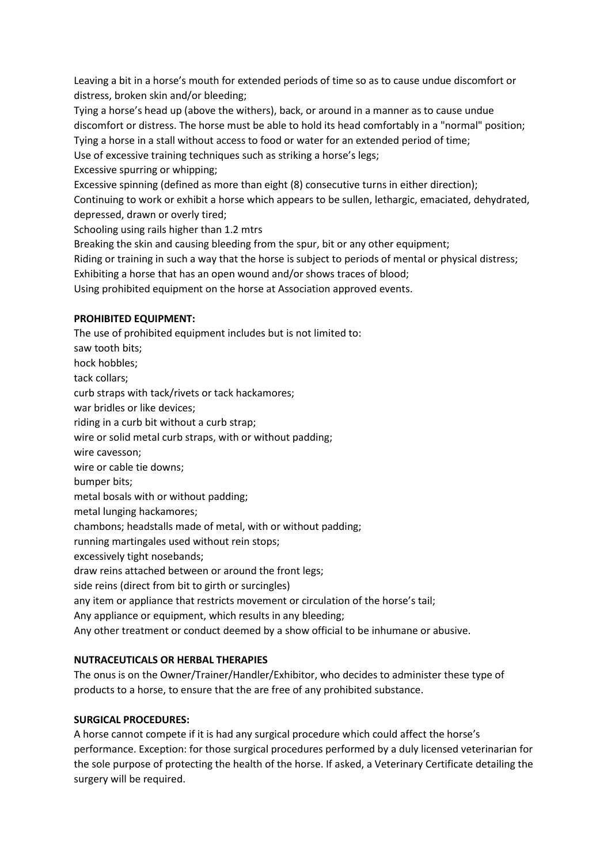Leaving a bit in a horse's mouth for extended periods of time so as to cause undue discomfort or distress, broken skin and/or bleeding;

Tying a horse's head up (above the withers), back, or around in a manner as to cause undue discomfort or distress. The horse must be able to hold its head comfortably in a "normal" position; Tying a horse in a stall without access to food or water for an extended period of time;

Use of excessive training techniques such as striking a horse's legs;

Excessive spurring or whipping;

Excessive spinning (defined as more than eight (8) consecutive turns in either direction);

Continuing to work or exhibit a horse which appears to be sullen, lethargic, emaciated, dehydrated, depressed, drawn or overly tired;

Schooling using rails higher than 1.2 mtrs

Breaking the skin and causing bleeding from the spur, bit or any other equipment;

Riding or training in such a way that the horse is subject to periods of mental or physical distress;

Exhibiting a horse that has an open wound and/or shows traces of blood;

Using prohibited equipment on the horse at Association approved events.

## **PROHIBITED EQUIPMENT:**

The use of prohibited equipment includes but is not limited to: saw tooth bits; hock hobbles; tack collars; curb straps with tack/rivets or tack hackamores; war bridles or like devices; riding in a curb bit without a curb strap; wire or solid metal curb straps, with or without padding; wire cavesson; wire or cable tie downs; bumper bits; metal bosals with or without padding; metal lunging hackamores; chambons; headstalls made of metal, with or without padding; running martingales used without rein stops; excessively tight nosebands; draw reins attached between or around the front legs; side reins (direct from bit to girth or surcingles) any item or appliance that restricts movement or circulation of the horse's tail; Any appliance or equipment, which results in any bleeding; Any other treatment or conduct deemed by a show official to be inhumane or abusive.

## **NUTRACEUTICALS OR HERBAL THERAPIES**

The onus is on the Owner/Trainer/Handler/Exhibitor, who decides to administer these type of products to a horse, to ensure that the are free of any prohibited substance.

## **SURGICAL PROCEDURES:**

A horse cannot compete if it is had any surgical procedure which could affect the horse's performance. Exception: for those surgical procedures performed by a duly licensed veterinarian for the sole purpose of protecting the health of the horse. If asked, a Veterinary Certificate detailing the surgery will be required.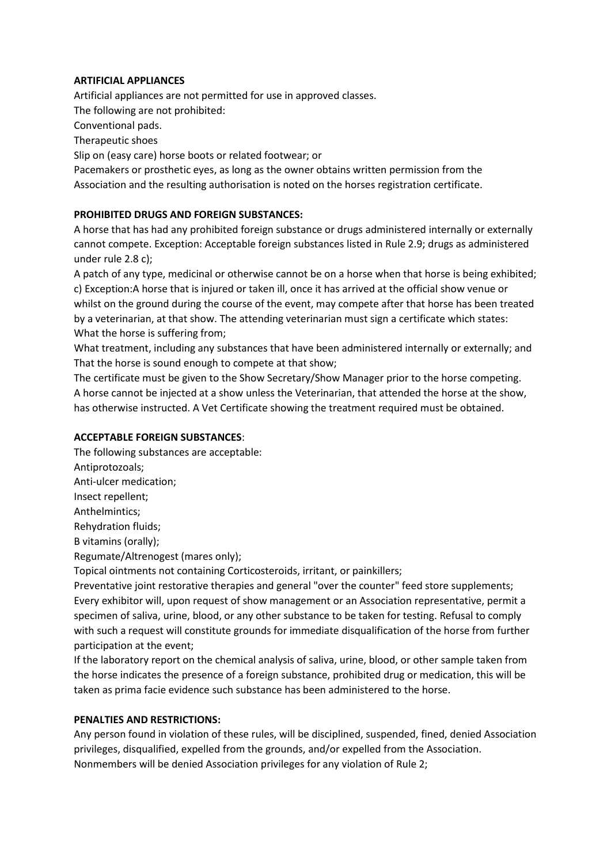#### **ARTIFICIAL APPLIANCES**

Artificial appliances are not permitted for use in approved classes. The following are not prohibited: Conventional pads. Therapeutic shoes

Slip on (easy care) horse boots or related footwear; or

Pacemakers or prosthetic eyes, as long as the owner obtains written permission from the Association and the resulting authorisation is noted on the horses registration certificate.

#### **PROHIBITED DRUGS AND FOREIGN SUBSTANCES:**

A horse that has had any prohibited foreign substance or drugs administered internally or externally cannot compete. Exception: Acceptable foreign substances listed in Rule 2.9; drugs as administered under rule 2.8 c);

A patch of any type, medicinal or otherwise cannot be on a horse when that horse is being exhibited; c) Exception:A horse that is injured or taken ill, once it has arrived at the official show venue or whilst on the ground during the course of the event, may compete after that horse has been treated by a veterinarian, at that show. The attending veterinarian must sign a certificate which states: What the horse is suffering from;

What treatment, including any substances that have been administered internally or externally; and That the horse is sound enough to compete at that show;

The certificate must be given to the Show Secretary/Show Manager prior to the horse competing. A horse cannot be injected at a show unless the Veterinarian, that attended the horse at the show, has otherwise instructed. A Vet Certificate showing the treatment required must be obtained.

#### **ACCEPTABLE FOREIGN SUBSTANCES**:

The following substances are acceptable: Antiprotozoals; Anti-ulcer medication; Insect repellent; Anthelmintics;

Rehydration fluids;

B vitamins (orally);

Regumate/Altrenogest (mares only);

Topical ointments not containing Corticosteroids, irritant, or painkillers;

Preventative joint restorative therapies and general "over the counter" feed store supplements; Every exhibitor will, upon request of show management or an Association representative, permit a specimen of saliva, urine, blood, or any other substance to be taken for testing. Refusal to comply with such a request will constitute grounds for immediate disqualification of the horse from further participation at the event;

If the laboratory report on the chemical analysis of saliva, urine, blood, or other sample taken from the horse indicates the presence of a foreign substance, prohibited drug or medication, this will be taken as prima facie evidence such substance has been administered to the horse.

#### **PENALTIES AND RESTRICTIONS:**

Any person found in violation of these rules, will be disciplined, suspended, fined, denied Association privileges, disqualified, expelled from the grounds, and/or expelled from the Association. Nonmembers will be denied Association privileges for any violation of Rule 2;